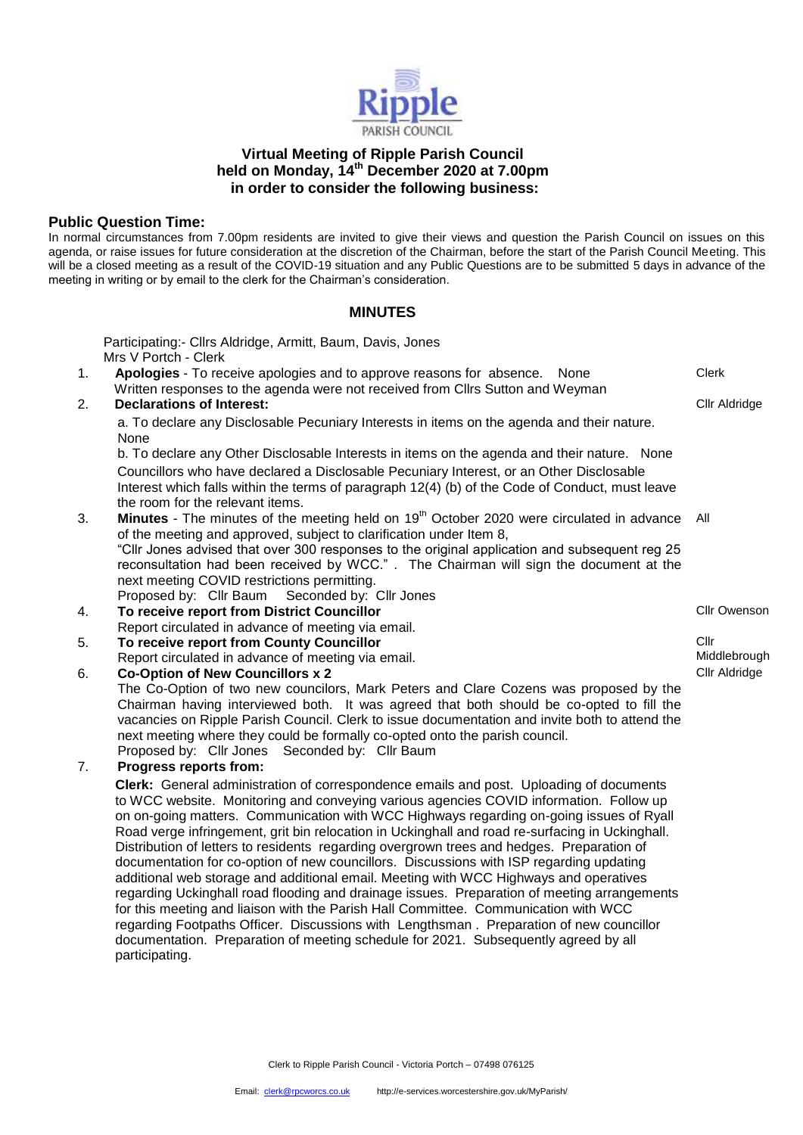

# **Virtual Meeting of Ripple Parish Council held on Monday, 14th December 2020 at 7.00pm in order to consider the following business:**

# **Public Question Time:**

In normal circumstances from 7.00pm residents are invited to give their views and question the Parish Council on issues on this agenda, or raise issues for future consideration at the discretion of the Chairman, before the start of the Parish Council Meeting. This will be a closed meeting as a result of the COVID-19 situation and any Public Questions are to be submitted 5 days in advance of the meeting in writing or by email to the clerk for the Chairman's consideration.

# **MINUTES**

Participating:- Cllrs Aldridge, Armitt, Baum, Davis, Jones Mrs V Portch - Clerk 1. **Apologies** - To receive apologies and to approve reasons for absence. None Written responses to the agenda were not received from Cllrs Sutton and Weyman Clerk 2. **Declarations of Interest: Clir Aldridge Clir Aldridge Clir Aldridge** a. To declare any Disclosable Pecuniary Interests in items on the agenda and their nature. None b. To declare any Other Disclosable Interests in items on the agenda and their nature. None Councillors who have declared a Disclosable Pecuniary Interest, or an Other Disclosable Interest which falls within the terms of paragraph 12(4) (b) of the Code of Conduct, must leave the room for the relevant items. 3. **Minutes** - The minutes of the meeting held on 19th October 2020 were circulated in advance of the meeting and approved, subject to clarification under Item 8, "Cllr Jones advised that over 300 responses to the original application and subsequent reg 25 reconsultation had been received by WCC." . The Chairman will sign the document at the next meeting COVID restrictions permitting. Proposed by: Cllr Baum Seconded by: Cllr Jones All 4. **To receive report from District Councillor**  Report circulated in advance of meeting via email. Cllr Owenson 5. **To receive report from County Councillor**  Report circulated in advance of meeting via email. Cllr Middlebrough 6. **Co-Option of New Councillors x 2** The Co-Option of two new councilors, Mark Peters and Clare Cozens was proposed by the Chairman having interviewed both. It was agreed that both should be co-opted to fill the vacancies on Ripple Parish Council. Clerk to issue documentation and invite both to attend the next meeting where they could be formally co-opted onto the parish council. Proposed by: Cllr Jones Seconded by: Cllr Baum Cllr Aldridge 7. **Progress reports from: Clerk:** General administration of correspondence emails and post. Uploading of documents to WCC website. Monitoring and conveying various agencies COVID information. Follow up on on-going matters. Communication with WCC Highways regarding on-going issues of Ryall Road verge infringement, grit bin relocation in Uckinghall and road re-surfacing in Uckinghall. Distribution of letters to residents regarding overgrown trees and hedges. Preparation of documentation for co-option of new councillors. Discussions with ISP regarding updating additional web storage and additional email. Meeting with WCC Highways and operatives regarding Uckinghall road flooding and drainage issues. Preparation of meeting arrangements for this meeting and liaison with the Parish Hall Committee. Communication with WCC regarding Footpaths Officer. Discussions with Lengthsman . Preparation of new councillor documentation. Preparation of meeting schedule for 2021. Subsequently agreed by all participating.

Clerk to Ripple Parish Council - Victoria Portch – 07498 076125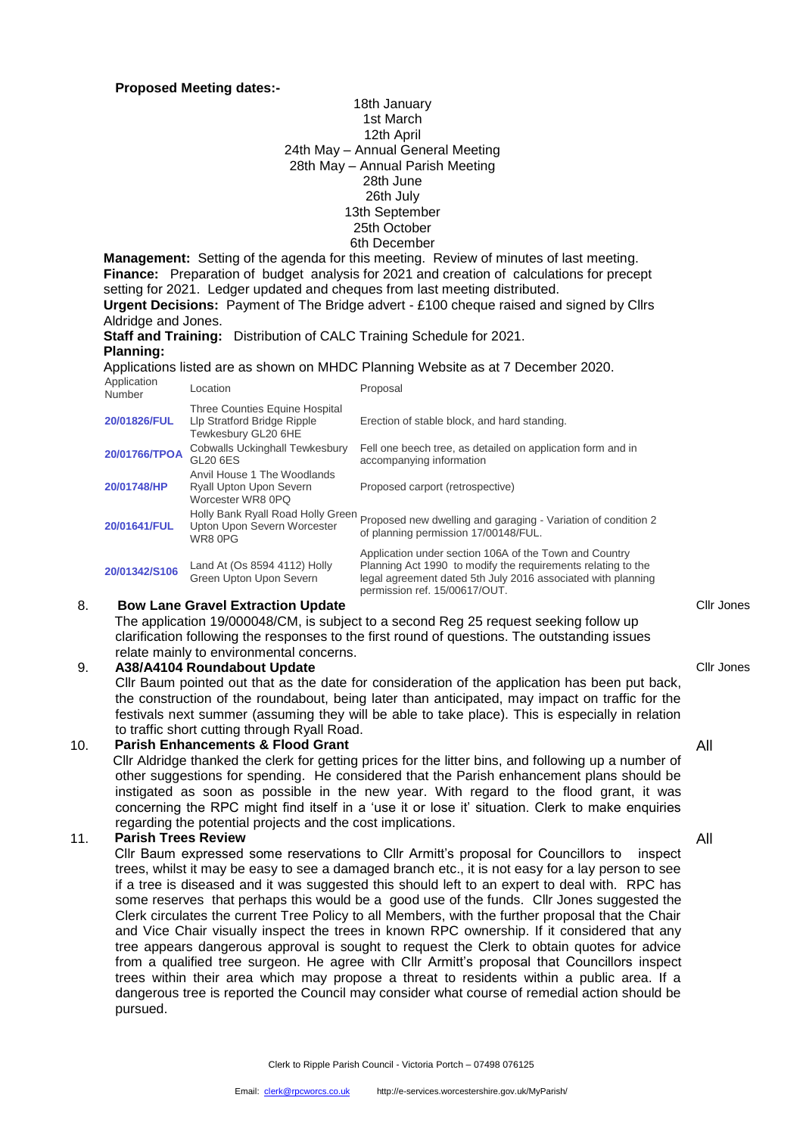### **Proposed Meeting dates:-**

### 18th January 1st March 12th April 24th May – Annual General Meeting 28th May – Annual Parish Meeting 28th June 26th July 13th September 25th October 6th December

**Management:** Setting of the agenda for this meeting. Review of minutes of last meeting. **Finance:** Preparation of budget analysis for 2021 and creation of calculations for precept setting for 2021. Ledger updated and cheques from last meeting distributed. **Urgent Decisions:** Payment of The Bridge advert - £100 cheque raised and signed by Cllrs

Aldridge and Jones.

**Staff and Training:** Distribution of CALC Training Schedule for 2021.

# **Planning:**

Applications listed are as shown on MHDC Planning Website as at 7 December 2020.

| Application<br>Number | Location                                                                                    | Proposal                                                                                                                                                                                                                |
|-----------------------|---------------------------------------------------------------------------------------------|-------------------------------------------------------------------------------------------------------------------------------------------------------------------------------------------------------------------------|
| 20/01826/FUL          | <b>Three Counties Equine Hospital</b><br>Llp Stratford Bridge Ripple<br>Tewkesbury GL20 6HE | Erection of stable block, and hard standing.                                                                                                                                                                            |
| 20/01766/TPOA         | <b>Cobwalls Uckinghall Tewkesbury</b><br>GL <sub>20</sub> 6ES                               | Fell one beech tree, as detailed on application form and in<br>accompanying information                                                                                                                                 |
| 20/01748/HP           | Anvil House 1 The Woodlands<br><b>Ryall Upton Upon Severn</b><br>Worcester WR8 0PQ          | Proposed carport (retrospective)                                                                                                                                                                                        |
| 20/01641/FUL          | Holly Bank Ryall Road Holly Green<br>Upton Upon Severn Worcester<br>WR8 0PG                 | Proposed new dwelling and garaging - Variation of condition 2<br>of planning permission 17/00148/FUL.                                                                                                                   |
| 20/01342/S106         | Land At (Os 8594 4112) Holly<br>Green Upton Upon Severn                                     | Application under section 106A of the Town and Country<br>Planning Act 1990 to modify the requirements relating to the<br>legal agreement dated 5th July 2016 associated with planning<br>permission ref. 15/00617/OUT. |

## 8. **Bow Lane Gravel Extraction Update**

 The application 19/000048/CM, is subject to a second Reg 25 request seeking follow up clarification following the responses to the first round of questions. The outstanding issues relate mainly to environmental concerns.

## 9. **A38/A4104 Roundabout Update**

Cllr Baum pointed out that as the date for consideration of the application has been put back, the construction of the roundabout, being later than anticipated, may impact on traffic for the festivals next summer (assuming they will be able to take place). This is especially in relation to traffic short cutting through Ryall Road.

#### 10. **Parish Enhancements & Flood Grant**

Cllr Aldridge thanked the clerk for getting prices for the litter bins, and following up a number of other suggestions for spending. He considered that the Parish enhancement plans should be instigated as soon as possible in the new year. With regard to the flood grant, it was concerning the RPC might find itself in a 'use it or lose it' situation. Clerk to make enquiries regarding the potential projects and the cost implications.

# 11. **Parish Trees Review**

 Cllr Baum expressed some reservations to Cllr Armitt's proposal for Councillors to inspect trees, whilst it may be easy to see a damaged branch etc., it is not easy for a lay person to see if a tree is diseased and it was suggested this should left to an expert to deal with. RPC has some reserves that perhaps this would be a good use of the funds. Cllr Jones suggested the Clerk circulates the current Tree Policy to all Members, with the further proposal that the Chair and Vice Chair visually inspect the trees in known RPC ownership. If it considered that any tree appears dangerous approval is sought to request the Clerk to obtain quotes for advice from a qualified tree surgeon. He agree with Cllr Armitt's proposal that Councillors inspect trees within their area which may propose a threat to residents within a public area. If a dangerous tree is reported the Council may consider what course of remedial action should be pursued.

Cllr Jones

Cllr Jones

All

All